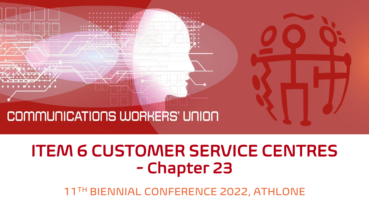

## ITEM 6 CUSTOMER SERVICE CENTRES - Chapter 23

11TH BIENNIAL CONFERENCE 2022, ATHLONE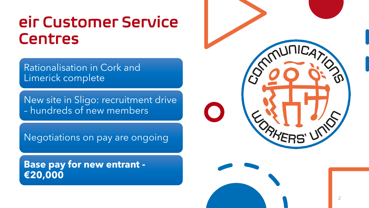#### eir Customer Service Centres

Rationalisation in Cork and Limerick complete

New site in Sligo: recruitment drive – hundreds of new members

Negotiations on pay are ongoing

**Base pay for new entrant - €20,000**



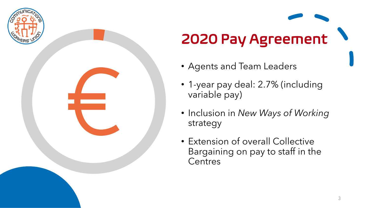

# 2020 Pay Agreement

- Agents and Team Leaders
- 1-year pay deal: 2.7% (including variable pay)
- Inclusion in *New Ways of Working* strategy
- Extension of overall Collective Bargaining on pay to staff in the **Centres**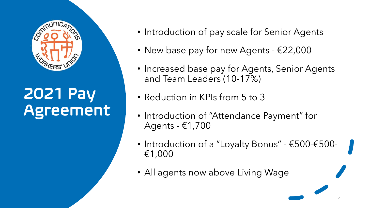

# 2021 Pay Agreement

- Introduction of pay scale for Senior Agents
- New base pay for new Agents €22,000
- Increased base pay for Agents, Senior Agents and Team Leaders (10-17%)
- Reduction in KPIs from 5 to 3
- Introduction of "Attendance Payment" for Agents - €1,700
- Introduction of a "Loyalty Bonus" €500-€500- €1,000
- All agents now above Living Wage

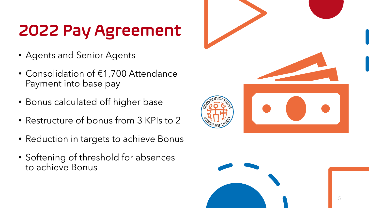# 2022 Pay Agreement

- Agents and Senior Agents
- Consolidation of €1,700 Attendance Payment into base pay
- Bonus calculated off higher base
- Restructure of bonus from 3 KPIs to 2
- Reduction in targets to achieve Bonus
- Softening of threshold for absences to achieve Bonus



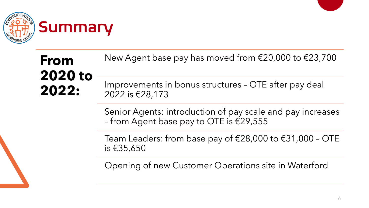

**From 2020 to 2022:**

New Agent base pay has moved from €20,000 to €23,700

Improvements in bonus structures – OTE after pay deal 2022 is €28,173

Senior Agents: introduction of pay scale and pay increases - from Agent base pay to OTE is  $\epsilon$ 29,555

Team Leaders: from base pay of  $\epsilon$ 28,000 to  $\epsilon$ 31,000 - OTE is €35,650

Opening of new Customer Operations site in Waterford